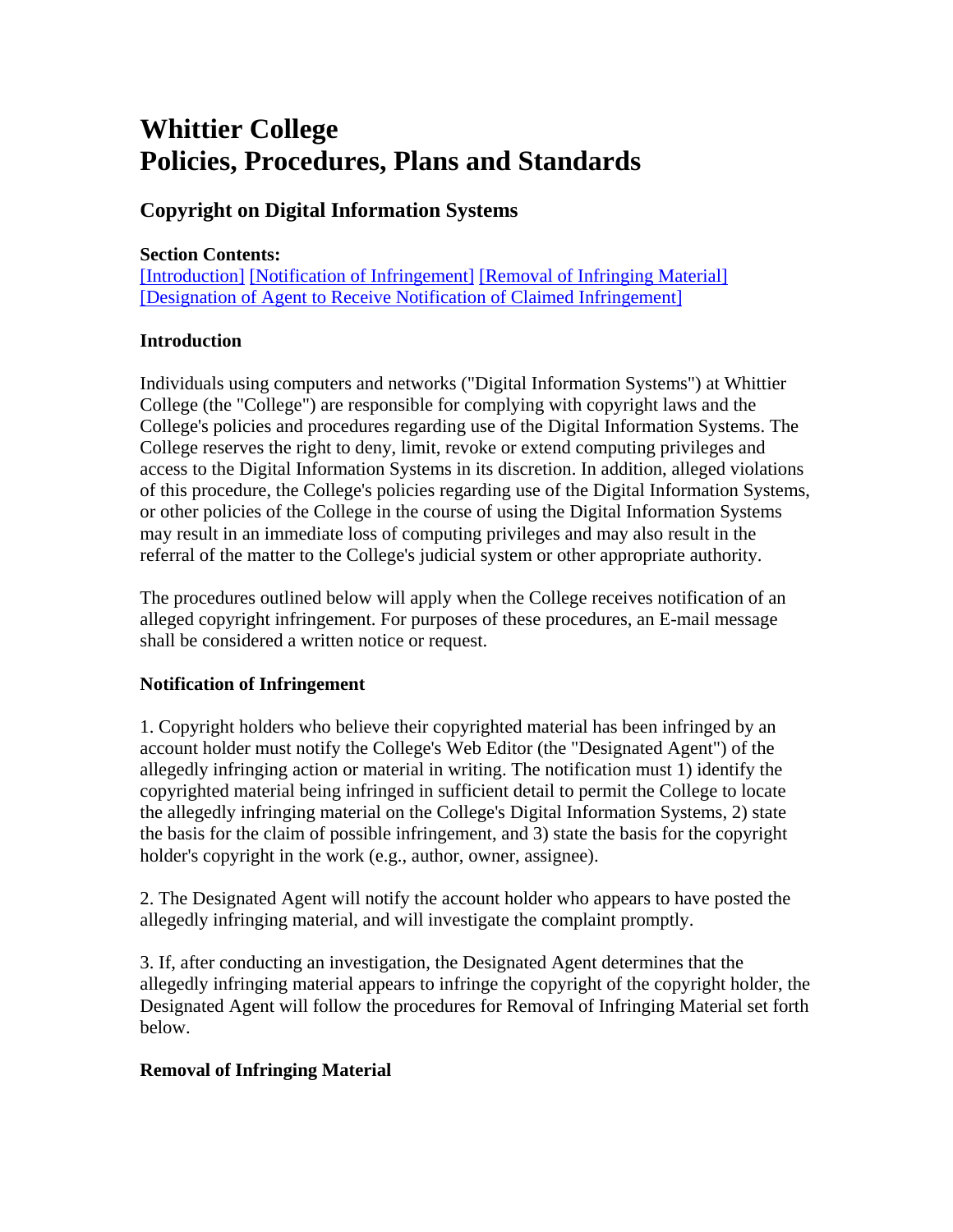# **Whittier College Policies, Procedures, Plans and Standards**

# **Copyright on Digital Information Systems**

### **Section Contents:**

[Introduction] [Notification of Infringement] [Removal of Infringing Material] [Designation of Agent to Receive Notification of Claimed Infringement]

#### **Introduction**

Individuals using computers and networks ("Digital Information Systems") at Whittier College (the "College") are responsible for complying with copyright laws and the College's policies and procedures regarding use of the Digital Information Systems. The College reserves the right to deny, limit, revoke or extend computing privileges and access to the Digital Information Systems in its discretion. In addition, alleged violations of this procedure, the College's policies regarding use of the Digital Information Systems, or other policies of the College in the course of using the Digital Information Systems may result in an immediate loss of computing privileges and may also result in the referral of the matter to the College's judicial system or other appropriate authority.

The procedures outlined below will apply when the College receives notification of an alleged copyright infringement. For purposes of these procedures, an E-mail message shall be considered a written notice or request.

# **Notification of Infringement**

1. Copyright holders who believe their copyrighted material has been infringed by an account holder must notify the College's Web Editor (the "Designated Agent") of the allegedly infringing action or material in writing. The notification must 1) identify the copyrighted material being infringed in sufficient detail to permit the College to locate the allegedly infringing material on the College's Digital Information Systems, 2) state the basis for the claim of possible infringement, and 3) state the basis for the copyright holder's copyright in the work (e.g., author, owner, assignee).

2. The Designated Agent will notify the account holder who appears to have posted the allegedly infringing material, and will investigate the complaint promptly.

3. If, after conducting an investigation, the Designated Agent determines that the allegedly infringing material appears to infringe the copyright of the copyright holder, the Designated Agent will follow the procedures for Removal of Infringing Material set forth below.

# **Removal of Infringing Material**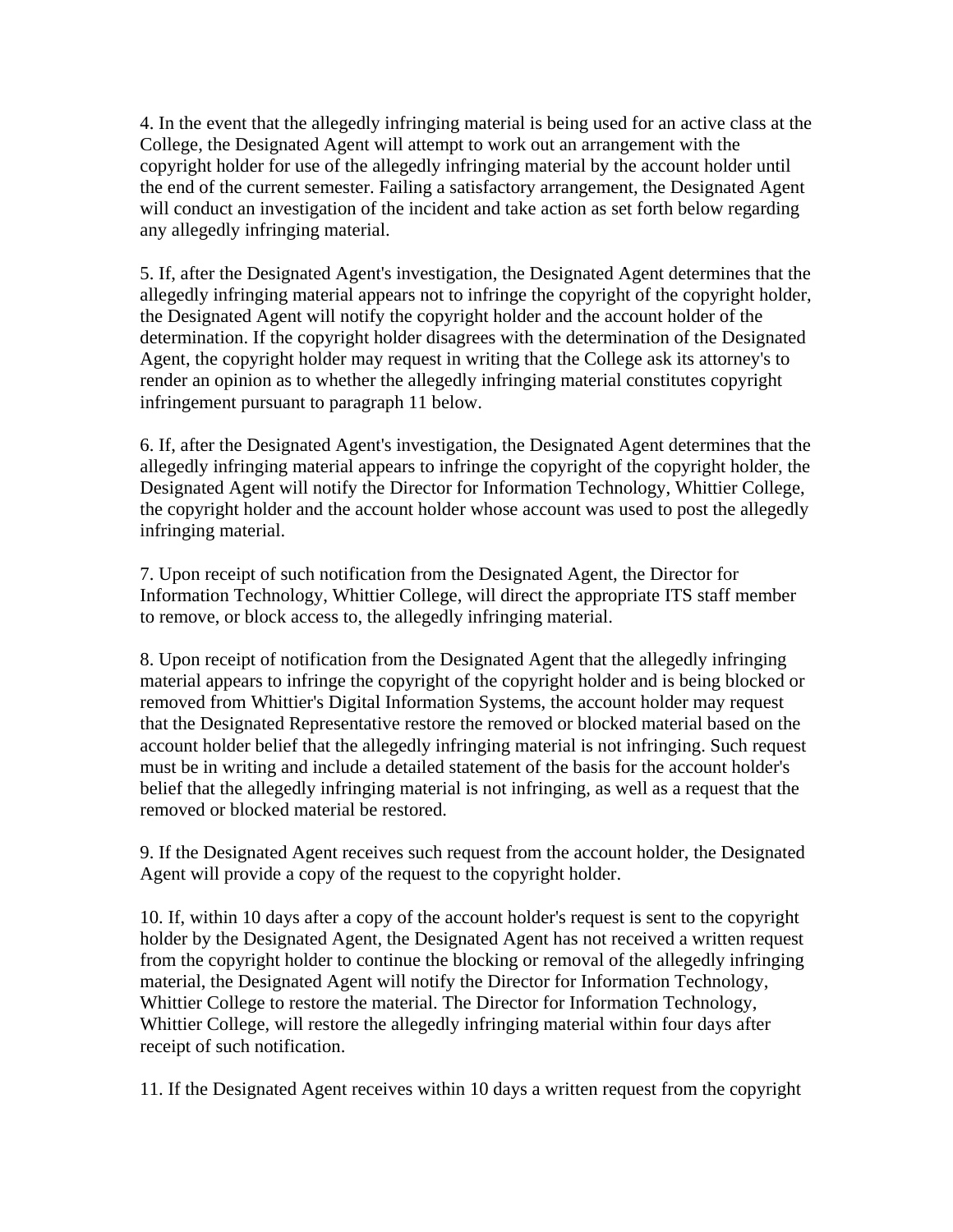4. In the event that the allegedly infringing material is being used for an active class at the College, the Designated Agent will attempt to work out an arrangement with the copyright holder for use of the allegedly infringing material by the account holder until the end of the current semester. Failing a satisfactory arrangement, the Designated Agent will conduct an investigation of the incident and take action as set forth below regarding any allegedly infringing material.

5. If, after the Designated Agent's investigation, the Designated Agent determines that the allegedly infringing material appears not to infringe the copyright of the copyright holder, the Designated Agent will notify the copyright holder and the account holder of the determination. If the copyright holder disagrees with the determination of the Designated Agent, the copyright holder may request in writing that the College ask its attorney's to render an opinion as to whether the allegedly infringing material constitutes copyright infringement pursuant to paragraph 11 below.

6. If, after the Designated Agent's investigation, the Designated Agent determines that the allegedly infringing material appears to infringe the copyright of the copyright holder, the Designated Agent will notify the Director for Information Technology, Whittier College, the copyright holder and the account holder whose account was used to post the allegedly infringing material.

7. Upon receipt of such notification from the Designated Agent, the Director for Information Technology, Whittier College, will direct the appropriate ITS staff member to remove, or block access to, the allegedly infringing material.

8. Upon receipt of notification from the Designated Agent that the allegedly infringing material appears to infringe the copyright of the copyright holder and is being blocked or removed from Whittier's Digital Information Systems, the account holder may request that the Designated Representative restore the removed or blocked material based on the account holder belief that the allegedly infringing material is not infringing. Such request must be in writing and include a detailed statement of the basis for the account holder's belief that the allegedly infringing material is not infringing, as well as a request that the removed or blocked material be restored.

9. If the Designated Agent receives such request from the account holder, the Designated Agent will provide a copy of the request to the copyright holder.

10. If, within 10 days after a copy of the account holder's request is sent to the copyright holder by the Designated Agent, the Designated Agent has not received a written request from the copyright holder to continue the blocking or removal of the allegedly infringing material, the Designated Agent will notify the Director for Information Technology, Whittier College to restore the material. The Director for Information Technology, Whittier College, will restore the allegedly infringing material within four days after receipt of such notification.

11. If the Designated Agent receives within 10 days a written request from the copyright